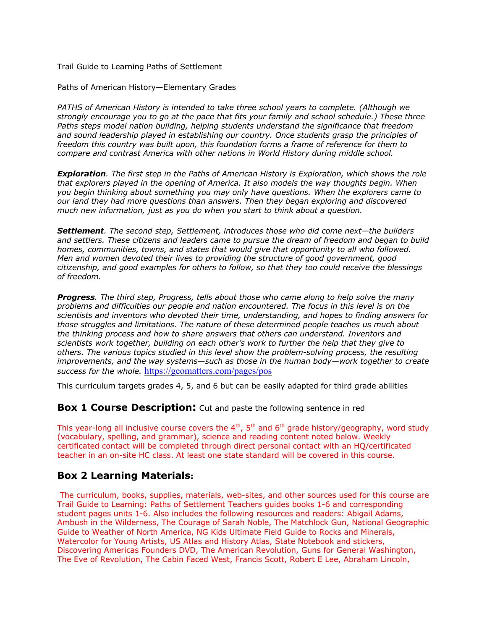Trail Guide to Learning Paths of Settlement

Paths of American History—Elementary Grades

*PATHS of American History is intended to take three school years to complete. (Although we strongly encourage you to go at the pace that fits your family and school schedule.) These three Paths steps model nation building, helping students understand the significance that freedom and sound leadership played in establishing our country. Once students grasp the principles of freedom this country was built upon, this foundation forms a frame of reference for them to compare and contrast America with other nations in World History during middle school.*

*Exploration. The first step in the Paths of American History is Exploration, which shows the role that explorers played in the opening of America. It also models the way thoughts begin. When you begin thinking about something you may only have questions. When the explorers came to our land they had more questions than answers. Then they began exploring and discovered much new information, just as you do when you start to think about a question.*

*Settlement. The second step, Settlement, introduces those who did come next—the builders and settlers. These citizens and leaders came to pursue the dream of freedom and began to build homes, communities, towns, and states that would give that opportunity to all who followed. Men and women devoted their lives to providing the structure of good government, good citizenship, and good examples for others to follow, so that they too could receive the blessings of freedom.*

*Progress. The third step, Progress, tells about those who came along to help solve the many problems and difficulties our people and nation encountered. The focus in this level is on the scientists and inventors who devoted their time, understanding, and hopes to finding answers for those struggles and limitations. The nature of these determined people teaches us much about the thinking process and how to share answers that others can understand. Inventors and scientists work together, building on each other's work to further the help that they give to others. The various topics studied in this level show the problem-solving process, the resulting improvements, and the way systems—such as those in the human body—work together to create success for the whole.* https://geomatters.com/pages/pos

This curriculum targets grades 4, 5, and 6 but can be easily adapted for third grade abilities

**Box 1 Course Description:** Cut and paste the following sentence in red

This year-long all inclusive course covers the  $4<sup>th</sup>$ ,  $5<sup>th</sup>$  and  $6<sup>th</sup>$  grade history/geography, word study (vocabulary, spelling, and grammar), science and reading content noted below. Weekly certificated contact will be completed through direct personal contact with an HQ/certificated teacher in an on-site HC class. At least one state standard will be covered in this course.

# **Box 2 Learning Materials:**

The curriculum, books, supplies, materials, web-sites, and other sources used for this course are Trail Guide to Learning: Paths of Settlement Teachers guides books 1-6 and corresponding student pages units 1-6. Also includes the following resources and readers: Abigail Adams, Ambush in the Wilderness, The Courage of Sarah Noble, The Matchlock Gun, National Geographic Guide to Weather of North America, NG Kids Ultimate Field Guide to Rocks and Minerals, Watercolor for Young Artists, US Atlas and History Atlas, State Notebook and stickers, Discovering Americas Founders DVD, The American Revolution, Guns for General Washington, The Eve of Revolution, The Cabin Faced West, Francis Scott, Robert E Lee, Abraham Lincoln,